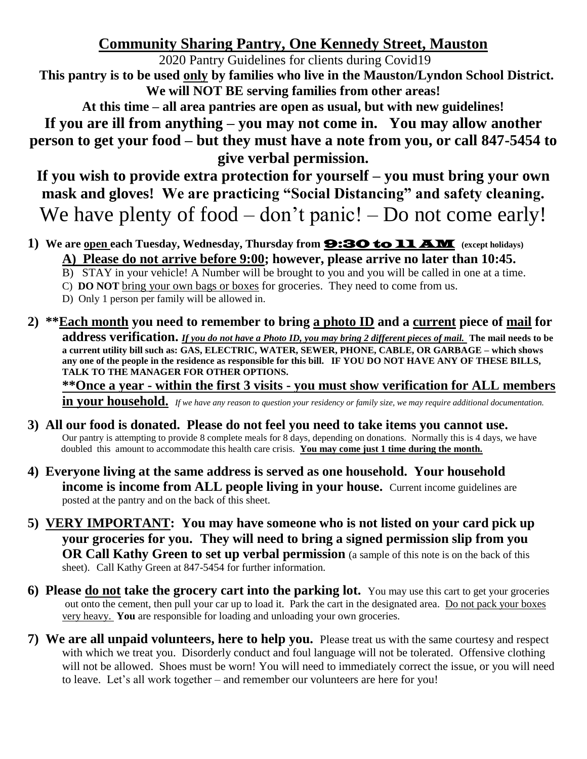# **Community Sharing Pantry, One Kennedy Street, Mauston**

2020 Pantry Guidelines for clients during Covid19

 **This pantry is to be used only by families who live in the Mauston/Lyndon School District. We will NOT BE serving families from other areas!**

**At this time – all area pantries are open as usual, but with new guidelines! If you are ill from anything – you may not come in. You may allow another person to get your food – but they must have a note from you, or call 847-5454 to give verbal permission.**

**If you wish to provide extra protection for yourself – you must bring your own mask and gloves! We are practicing "Social Distancing" and safety cleaning.** We have plenty of food – don't panic! – Do not come early!

- **1)** We are <u>open e</u>ach Tuesday, Wednesday, Thursday from **9:30 to 11 AM** (except holidays) **A) Please do not arrive before 9:00; however, please arrive no later than 10:45.** 
	- B) STAY in your vehicle! A Number will be brought to you and you will be called in one at a time.
	- C) **DO NOT** bring your own bags or boxes for groceries. They need to come from us.
	- D) Only 1 person per family will be allowed in.
- **2) \*\*Each month you need to remember to bring a photo ID and a current piece of mail for address verification.** *If you do not have a Photo ID, you may bring 2 different pieces of mail.* **The mail needs to be a current utility bill such as: GAS, ELECTRIC, WATER, SEWER, PHONE, CABLE, OR GARBAGE – which shows any one of the people in the residence as responsible for this bill. IF YOU DO NOT HAVE ANY OF THESE BILLS, TALK TO THE MANAGER FOR OTHER OPTIONS. \*\*Once a year - within the first 3 visits - you must show verification for ALL members**

**in your household.** *If we have any reason to question your residency or family size, we may require additional documentation.* 

- **3) All our food is donated. Please do not feel you need to take items you cannot use.** Our pantry is attempting to provide 8 complete meals for 8 days, depending on donations. Normally this is 4 days, we have doubled this amount to accommodate this health care crisis. **You may come just 1 time during the month.**
- **4) Everyone living at the same address is served as one household. Your household income is income from ALL people living in your house.** Current income guidelines are posted at the pantry and on the back of this sheet.
- **5) VERY IMPORTANT: You may have someone who is not listed on your card pick up your groceries for you. They will need to bring a signed permission slip from you OR Call Kathy Green to set up verbal permission** (a sample of this note is on the back of this sheet). Call Kathy Green at 847-5454 for further information.
- **6) Please do not take the grocery cart into the parking lot.** You may use this cart to get your groceries out onto the cement, then pull your car up to load it. Park the cart in the designated area. Do not pack your boxes very heavy. **You** are responsible for loading and unloading your own groceries.
- **7) We are all unpaid volunteers, here to help you.** Please treat us with the same courtesy and respect with which we treat you. Disorderly conduct and foul language will not be tolerated. Offensive clothing will not be allowed. Shoes must be worn! You will need to immediately correct the issue, or you will need to leave. Let's all work together – and remember our volunteers are here for you!